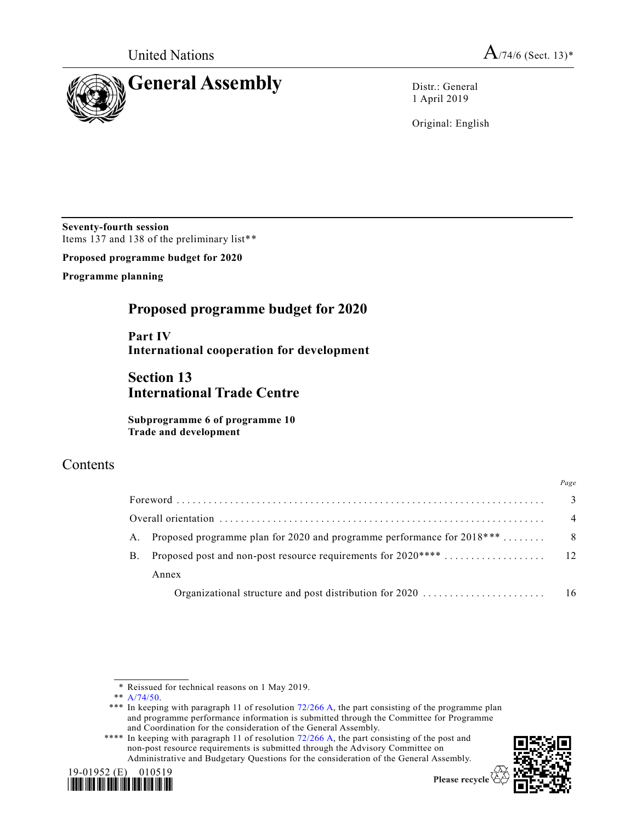

1 April 2019

Original: English

**Seventy-fourth session** Items 137 and 138 of the preliminary list\*\*

**Proposed programme budget for 2020**

**Programme planning**

# **Proposed programme budget for 2020**

**Part IV International cooperation for development** 

# **Section 13 International Trade Centre**

**Subprogramme 6 of programme 10 Trade and development**

# Contents

|           |       | Page                     |
|-----------|-------|--------------------------|
|           |       | $\overline{\phantom{a}}$ |
|           |       | $\overline{4}$           |
| A.        |       |                          |
| <b>B.</b> |       |                          |
|           | Annex |                          |
|           |       |                          |

\* Reissued for technical reasons on 1 May 2019.

<sup>\*\*\*\*</sup> In keeping with paragraph 11 of resolution [72/266](https://undocs.org/en/A/RES/72/266) A, the part consisting of the post and non-post resource requirements is submitted through the Advisory Committee on Administrative and Budgetary Questions for the consideration of the General Assembly.





Please recycle V

<sup>\*\*</sup> [A/74/50.](https://undocs.org/en/A/74/50)

<sup>\*\*\*</sup> In keeping with paragraph 11 of resolution [72/266](https://undocs.org/en/A/RES/72/266) A, the part consisting of the programme plan and programme performance information is submitted through the Committee for Programme and Coordination for the consideration of the General Assembly.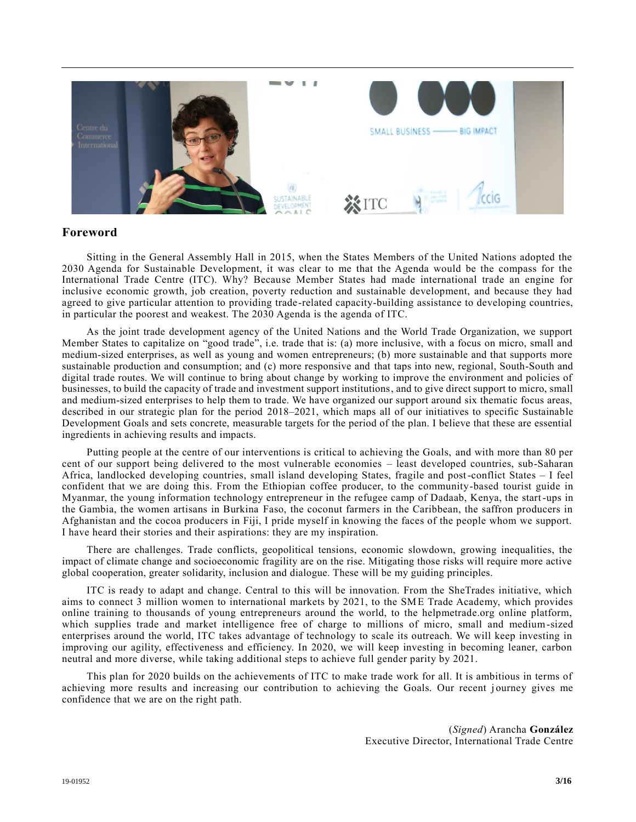

### **Foreword**

Sitting in the General Assembly Hall in 2015, when the States Members of the United Nations adopted the 2030 Agenda for Sustainable Development, it was clear to me that the Agenda would be the compass for the International Trade Centre (ITC). Why? Because Member States had made international trade an engine for inclusive economic growth, job creation, poverty reduction and sustainable development, and because they had agreed to give particular attention to providing trade-related capacity-building assistance to developing countries, in particular the poorest and weakest. The 2030 Agenda is the agenda of ITC.

As the joint trade development agency of the United Nations and the World Trade Organization, we support Member States to capitalize on "good trade", i.e. trade that is: (a) more inclusive, with a focus on micro, small and medium-sized enterprises, as well as young and women entrepreneurs; (b) more sustainable and that supports more sustainable production and consumption; and (c) more responsive and that taps into new, regional, South-South and digital trade routes. We will continue to bring about change by working to improve the environment and policies of businesses, to build the capacity of trade and investment support institutions, and to give direct support to micro, small and medium-sized enterprises to help them to trade. We have organized our support around six thematic focus areas, described in our strategic plan for the period 2018–2021, which maps all of our initiatives to specific Sustainable Development Goals and sets concrete, measurable targets for the period of the plan. I believe that these are essential ingredients in achieving results and impacts.

Putting people at the centre of our interventions is critical to achieving the Goals, and with more than 80 per cent of our support being delivered to the most vulnerable economies – least developed countries, sub-Saharan Africa, landlocked developing countries, small island developing States, fragile and post-conflict States – I feel confident that we are doing this. From the Ethiopian coffee producer, to the community-based tourist guide in Myanmar, the young information technology entrepreneur in the refugee camp of Dadaab, Kenya, the start-ups in the Gambia, the women artisans in Burkina Faso, the coconut farmers in the Caribbean, the saffron producers in Afghanistan and the cocoa producers in Fiji, I pride myself in knowing the faces of the people whom we support. I have heard their stories and their aspirations: they are my inspiration.

There are challenges. Trade conflicts, geopolitical tensions, economic slowdown, growing inequalities, the impact of climate change and socioeconomic fragility are on the rise. Mitigating those risks will require more active global cooperation, greater solidarity, inclusion and dialogue. These will be my guiding principles.

ITC is ready to adapt and change. Central to this will be innovation. From the SheTrades initiative, which aims to connect 3 million women to international markets by 2021, to the SME Trade Academy, which provides online training to thousands of young entrepreneurs around the world, to the helpmetrade.org online platform, which supplies trade and market intelligence free of charge to millions of micro, small and medium-sized enterprises around the world, ITC takes advantage of technology to scale its outreach. We will keep investing in improving our agility, effectiveness and efficiency. In 2020, we will keep investing in becoming leaner, carbon neutral and more diverse, while taking additional steps to achieve full gender parity by 2021.

This plan for 2020 builds on the achievements of ITC to make trade work for all. It is ambitious in terms of achieving more results and increasing our contribution to achieving the Goals. Our recent journey gives me confidence that we are on the right path.

> (*Signed*) Arancha **González** Executive Director, International Trade Centre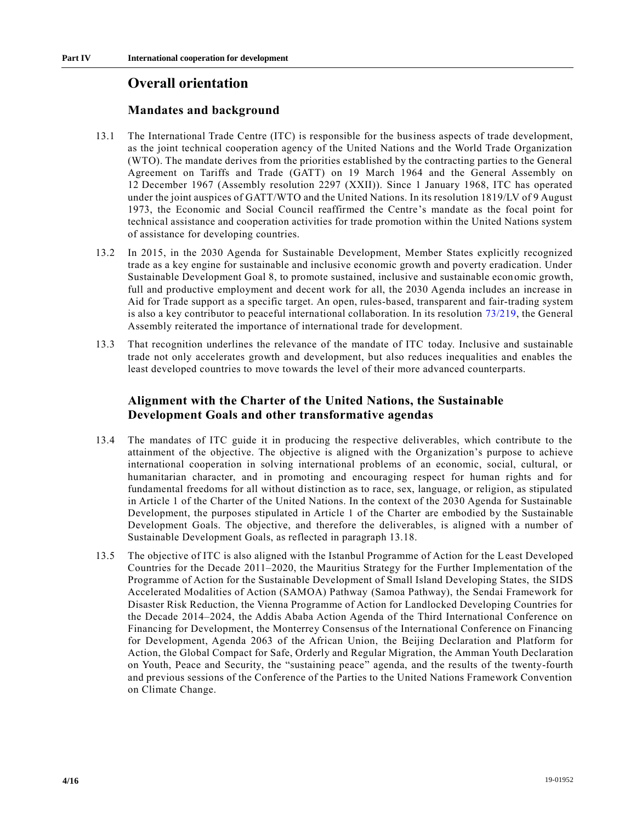# **Overall orientation**

### **Mandates and background**

- 13.1 The International Trade Centre (ITC) is responsible for the business aspects of trade development, as the joint technical cooperation agency of the United Nations and the World Trade Organization (WTO). The mandate derives from the priorities established by the contracting parties to the General Agreement on Tariffs and Trade (GATT) on 19 March 1964 and the General Assembly on 12 December 1967 (Assembly resolution 2297 (XXII)). Since 1 January 1968, ITC has operated under the joint auspices of GATT/WTO and the United Nations. In its resolution 1819/LV of 9 August 1973, the Economic and Social Council reaffirmed the Centre's mandate as the focal point for technical assistance and cooperation activities for trade promotion within the United Nations system of assistance for developing countries.
- 13.2 In 2015, in the 2030 Agenda for Sustainable Development, Member States explicitly recognized trade as a key engine for sustainable and inclusive economic growth and poverty eradication. Under Sustainable Development Goal 8, to promote sustained, inclusive and sustainable econ omic growth, full and productive employment and decent work for all, the 2030 Agenda includes an increase in Aid for Trade support as a specific target. An open, rules-based, transparent and fair-trading system is also a key contributor to peaceful international collaboration. In its resolution [73/219,](https://undocs.org/en/A/RES/73/219) the General Assembly reiterated the importance of international trade for development.
- 13.3 That recognition underlines the relevance of the mandate of ITC today. Inclusive and sustainable trade not only accelerates growth and development, but also reduces inequalities and enables the least developed countries to move towards the level of their more advanced counterparts.

# **Alignment with the Charter of the United Nations, the Sustainable Development Goals and other transformative agendas**

- 13.4 The mandates of ITC guide it in producing the respective deliverables, which contribute to the attainment of the objective. The objective is aligned with the Organization's purpose to achieve international cooperation in solving international problems of an economic, social, cultural, or humanitarian character, and in promoting and encouraging respect for human rights and for fundamental freedoms for all without distinction as to race, sex, language, or religion, as stipulated in Article 1 of the Charter of the United Nations. In the context of the 2030 Agenda for Sustainable Development, the purposes stipulated in Article 1 of the Charter are embodied by the Sustainable Development Goals. The objective, and therefore the deliverables, is aligned with a number of Sustainable Development Goals, as reflected in paragraph 13.18.
- 13.5 The objective of ITC is also aligned with the Istanbul Programme of Action for the Least Developed Countries for the Decade 2011–2020, the Mauritius Strategy for the Further Implementation of the Programme of Action for the Sustainable Development of Small Island Developing States, the SIDS Accelerated Modalities of Action (SAMOA) Pathway (Samoa Pathway), the Sendai Framework for Disaster Risk Reduction, the Vienna Programme of Action for Landlocked Developing Countries for the Decade 2014–2024, the Addis Ababa Action Agenda of the Third International Conference on Financing for Development, the Monterrey Consensus of the International Conference on Financing for Development, Agenda 2063 of the African Union, the Beijing Declaration and Platform for Action, the Global Compact for Safe, Orderly and Regular Migration, the Amman Youth Declaration on Youth, Peace and Security, the "sustaining peace" agenda, and the results of the twenty-fourth and previous sessions of the Conference of the Parties to the United Nations Framework Convention on Climate Change.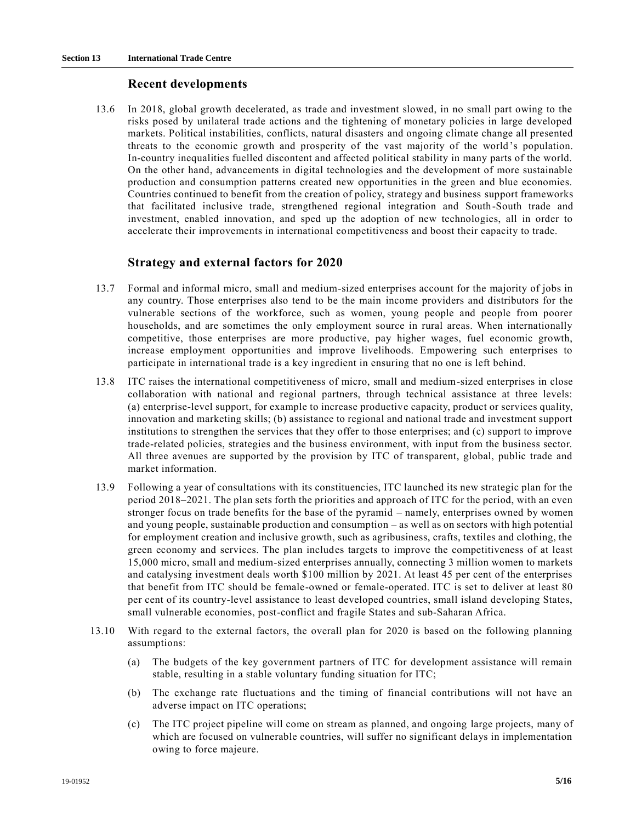### **Recent developments**

13.6 In 2018, global growth decelerated, as trade and investment slowed, in no small part owing to the risks posed by unilateral trade actions and the tightening of monetary policies in large developed markets. Political instabilities, conflicts, natural disasters and ongoing climate change all presented threats to the economic growth and prosperity of the vast majority of the world 's population. In-country inequalities fuelled discontent and affected political stability in many parts of the world. On the other hand, advancements in digital technologies and the development of more sustainable production and consumption patterns created new opportunities in the green and blue economies. Countries continued to benefit from the creation of policy, strategy and business support frameworks that facilitated inclusive trade, strengthened regional integration and South-South trade and investment, enabled innovation, and sped up the adoption of new technologies, all in order to accelerate their improvements in international competitiveness and boost their capacity to trade.

### **Strategy and external factors for 2020**

- 13.7 Formal and informal micro, small and medium-sized enterprises account for the majority of jobs in any country. Those enterprises also tend to be the main income providers and distributors for the vulnerable sections of the workforce, such as women, young people and people from poorer households, and are sometimes the only employment source in rural areas. When internationally competitive, those enterprises are more productive, pay higher wages, fuel economic growth, increase employment opportunities and improve livelihoods. Empowering such enterprises to participate in international trade is a key ingredient in ensuring that no one is left behind.
- 13.8 ITC raises the international competitiveness of micro, small and medium-sized enterprises in close collaboration with national and regional partners, through technical assistance at three levels: (a) enterprise-level support, for example to increase productive capacity, product or services quality, innovation and marketing skills; (b) assistance to regional and national trade and investment support institutions to strengthen the services that they offer to those enterprises; and (c) support to improve trade-related policies, strategies and the business environment, with input from the business sector. All three avenues are supported by the provision by ITC of transparent, global, public trade and market information.
- 13.9 Following a year of consultations with its constituencies, ITC launched its new strategic plan for the period 2018–2021. The plan sets forth the priorities and approach of ITC for the period, with an even stronger focus on trade benefits for the base of the pyramid – namely, enterprises owned by women and young people, sustainable production and consumption – as well as on sectors with high potential for employment creation and inclusive growth, such as agribusiness, crafts, textiles and clothing, the green economy and services. The plan includes targets to improve the competitiveness of at least 15,000 micro, small and medium-sized enterprises annually, connecting 3 million women to markets and catalysing investment deals worth \$100 million by 2021. At least 45 per cent of the enterprises that benefit from ITC should be female-owned or female-operated. ITC is set to deliver at least 80 per cent of its country-level assistance to least developed countries, small island developing States, small vulnerable economies, post-conflict and fragile States and sub-Saharan Africa.
- 13.10 With regard to the external factors, the overall plan for 2020 is based on the following planning assumptions:
	- (a) The budgets of the key government partners of ITC for development assistance will remain stable, resulting in a stable voluntary funding situation for ITC;
	- (b) The exchange rate fluctuations and the timing of financial contributions will not have an adverse impact on ITC operations;
	- (c) The ITC project pipeline will come on stream as planned, and ongoing large projects, many of which are focused on vulnerable countries, will suffer no significant delays in implementation owing to force majeure.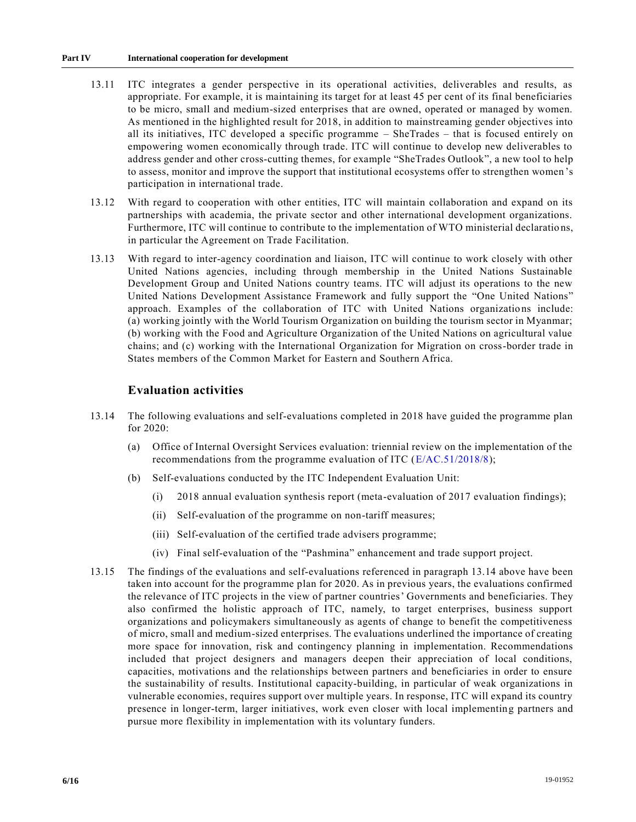#### **Part IV International cooperation for development**

- 13.11 ITC integrates a gender perspective in its operational activities, deliverables and results, as appropriate. For example, it is maintaining its target for at least 45 per cent of its final beneficiaries to be micro, small and medium-sized enterprises that are owned, operated or managed by women. As mentioned in the highlighted result for 2018, in addition to mainstreaming gender objectives into all its initiatives, ITC developed a specific programme – SheTrades – that is focused entirely on empowering women economically through trade. ITC will continue to develop new deliverables to address gender and other cross-cutting themes, for example "SheTrades Outlook", a new tool to help to assess, monitor and improve the support that institutional ecosystems offer to strengthen women 's participation in international trade.
- 13.12 With regard to cooperation with other entities, ITC will maintain collaboration and expand on its partnerships with academia, the private sector and other international development organizations. Furthermore, ITC will continue to contribute to the implementation of WTO ministerial declaratio ns, in particular the Agreement on Trade Facilitation.
- 13.13 With regard to inter-agency coordination and liaison, ITC will continue to work closely with other United Nations agencies, including through membership in the United Nations Sustainable Development Group and United Nations country teams. ITC will adjust its operations to the new United Nations Development Assistance Framework and fully support the "One United Nations" approach. Examples of the collaboration of ITC with United Nations organizations include: (a) working jointly with the World Tourism Organization on building the tourism sector in Myanmar; (b) working with the Food and Agriculture Organization of the United Nations on agricultural value chains; and (c) working with the International Organization for Migration on cross-border trade in States members of the Common Market for Eastern and Southern Africa.

# **Evaluation activities**

- 13.14 The following evaluations and self-evaluations completed in 2018 have guided the programme plan for 2020:
	- (a) Office of Internal Oversight Services evaluation: triennial review on the implementation of the recommendations from the programme evaluation of ITC [\(E/AC.51/2018/8\)](https://undocs.org/en/E/AC.51/2018/8);
	- (b) Self-evaluations conducted by the ITC Independent Evaluation Unit:
		- (i) 2018 annual evaluation synthesis report (meta-evaluation of 2017 evaluation findings);
		- (ii) Self-evaluation of the programme on non-tariff measures;
		- (iii) Self-evaluation of the certified trade advisers programme;
		- (iv) Final self-evaluation of the "Pashmina" enhancement and trade support project.
- 13.15 The findings of the evaluations and self-evaluations referenced in paragraph 13.14 above have been taken into account for the programme plan for 2020. As in previous years, the evaluations confirmed the relevance of ITC projects in the view of partner countries' Governments and beneficiaries. They also confirmed the holistic approach of ITC, namely, to target enterprises, business support organizations and policymakers simultaneously as agents of change to benefit the competitiveness of micro, small and medium-sized enterprises. The evaluations underlined the importance of creating more space for innovation, risk and contingency planning in implementation. Recommendations included that project designers and managers deepen their appreciation of local conditions, capacities, motivations and the relationships between partners and beneficiaries in order to ensure the sustainability of results. Institutional capacity-building, in particular of weak organizations in vulnerable economies, requires support over multiple years. In response, ITC will expand its country presence in longer-term, larger initiatives, work even closer with local implementing partners and pursue more flexibility in implementation with its voluntary funders.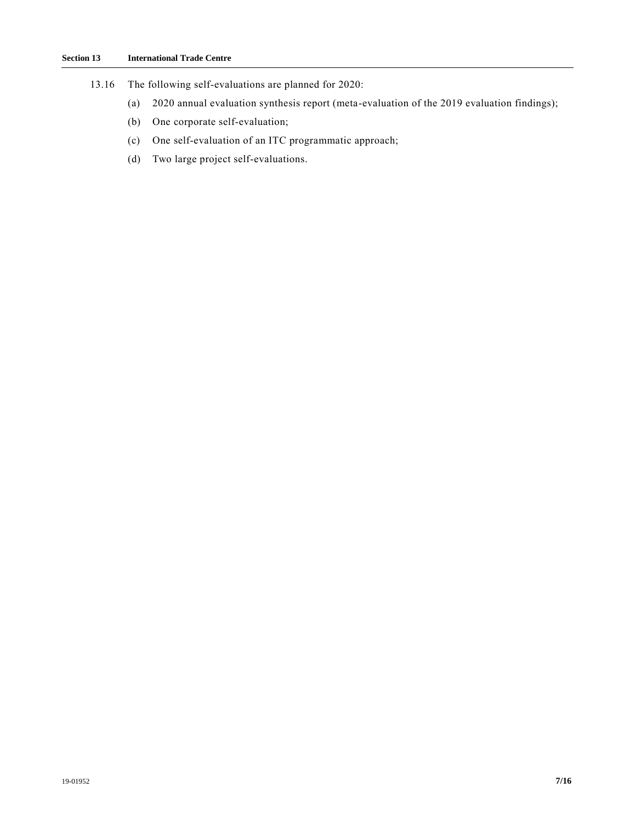- 13.16 The following self-evaluations are planned for 2020:
	- (a) 2020 annual evaluation synthesis report (meta-evaluation of the 2019 evaluation findings);
	- (b) One corporate self-evaluation;
	- (c) One self-evaluation of an ITC programmatic approach;
	- (d) Two large project self-evaluations.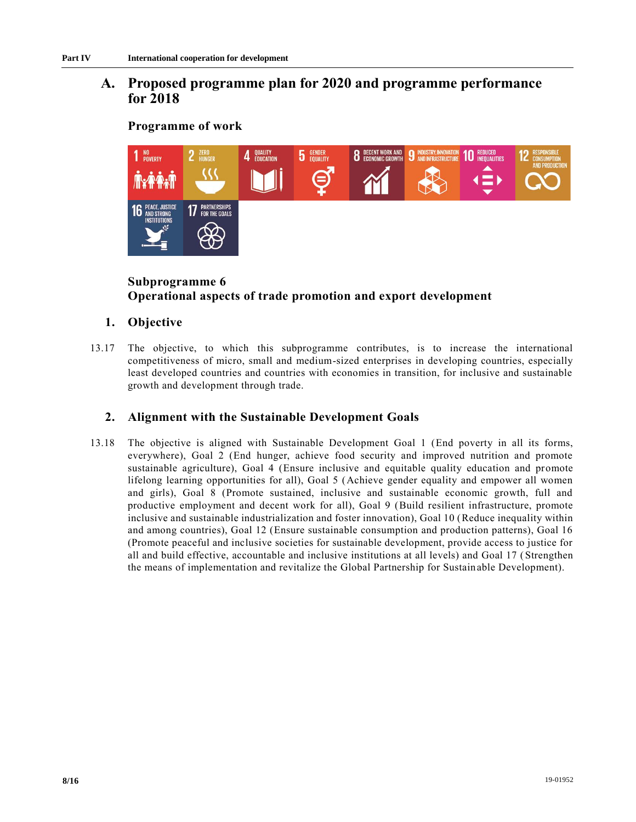# **A. Proposed programme plan for 2020 and programme performance for 2018**

# **Programme of work**



# **Subprogramme 6 Operational aspects of trade promotion and export development**

# **1. Objective**

13.17 The objective, to which this subprogramme contributes, is to increase the international competitiveness of micro, small and medium-sized enterprises in developing countries, especially least developed countries and countries with economies in transition, for inclusive and sustainable growth and development through trade.

# **2. Alignment with the Sustainable Development Goals**

13.18 The objective is aligned with Sustainable Development Goal 1 (End poverty in all its forms, everywhere), Goal 2 (End hunger, achieve food security and improved nutrition and promote sustainable agriculture), Goal 4 (Ensure inclusive and equitable quality education and promote lifelong learning opportunities for all), Goal 5 (Achieve gender equality and empower all women and girls), Goal 8 (Promote sustained, inclusive and sustainable economic growth, full and productive employment and decent work for all), Goal 9 (Build resilient infrastructure, promote inclusive and sustainable industrialization and foster innovation), Goal 10 (Reduce inequality within and among countries), Goal 12 (Ensure sustainable consumption and production patterns), Goal 16 (Promote peaceful and inclusive societies for sustainable development, provide access to justice for all and build effective, accountable and inclusive institutions at all levels) and Goal 17 ( Strengthen the means of implementation and revitalize the Global Partnership for Sustainable Development).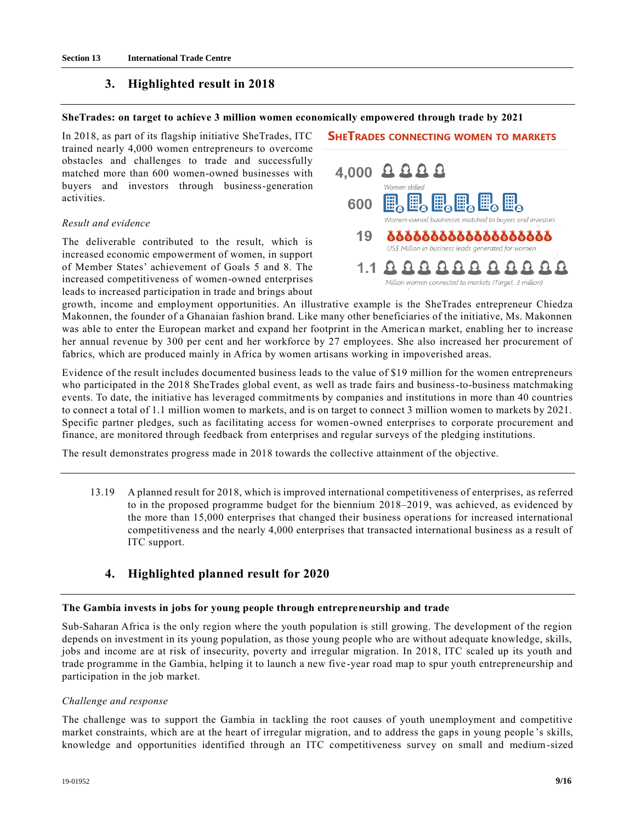## **3. Highlighted result in 2018**

#### **SheTrades: on target to achieve 3 million women economically empowered through trade by 2021**

In 2018, as part of its flagship initiative SheTrades, ITC trained nearly 4,000 women entrepreneurs to overcome obstacles and challenges to trade and successfully matched more than 600 women-owned businesses with buyers and investors through business-generation activities.

#### *Result and evidence*

The deliverable contributed to the result, which is increased economic empowerment of women, in support of Member States' achievement of Goals 5 and 8. The increased competitiveness of women-owned enterprises leads to increased participation in trade and brings about



growth, income and employment opportunities. An illustrative example is the SheTrades entrepreneur Chiedza Makonnen, the founder of a Ghanaian fashion brand. Like many other beneficiaries of the initiative, Ms. Makonnen was able to enter the European market and expand her footprint in the American market, enabling her to increase her annual revenue by 300 per cent and her workforce by 27 employees. She also increased her procurement of fabrics, which are produced mainly in Africa by women artisans working in impoverished areas.

Evidence of the result includes documented business leads to the value of \$19 million for the women entrepreneurs who participated in the 2018 SheTrades global event, as well as trade fairs and business-to-business matchmaking events. To date, the initiative has leveraged commitments by companies and institutions in more than 40 countries to connect a total of 1.1 million women to markets, and is on target to connect 3 million women to markets by 2021. Specific partner pledges, such as facilitating access for women-owned enterprises to corporate procurement and finance, are monitored through feedback from enterprises and regular surveys of the pledging institutions.

The result demonstrates progress made in 2018 towards the collective attainment of the objective.

13.19 A planned result for 2018, which is improved international competitiveness of enterprises, as referred to in the proposed programme budget for the biennium 2018–2019, was achieved, as evidenced by the more than 15,000 enterprises that changed their business operations for increased international competitiveness and the nearly 4,000 enterprises that transacted international business as a result of ITC support.

### **4. Highlighted planned result for 2020**

#### **The Gambia invests in jobs for young people through entrepreneurship and trade**

Sub-Saharan Africa is the only region where the youth population is still growing. The development of the region depends on investment in its young population, as those young people who are without adequate knowledge, skills, jobs and income are at risk of insecurity, poverty and irregular migration. In 2018, ITC scaled up its youth and trade programme in the Gambia, helping it to launch a new five -year road map to spur youth entrepreneurship and participation in the job market.

#### *Challenge and response*

The challenge was to support the Gambia in tackling the root causes of youth unemployment and competitive market constraints, which are at the heart of irregular migration, and to address the gaps in young people 's skills, knowledge and opportunities identified through an ITC competitiveness survey on small and medium-sized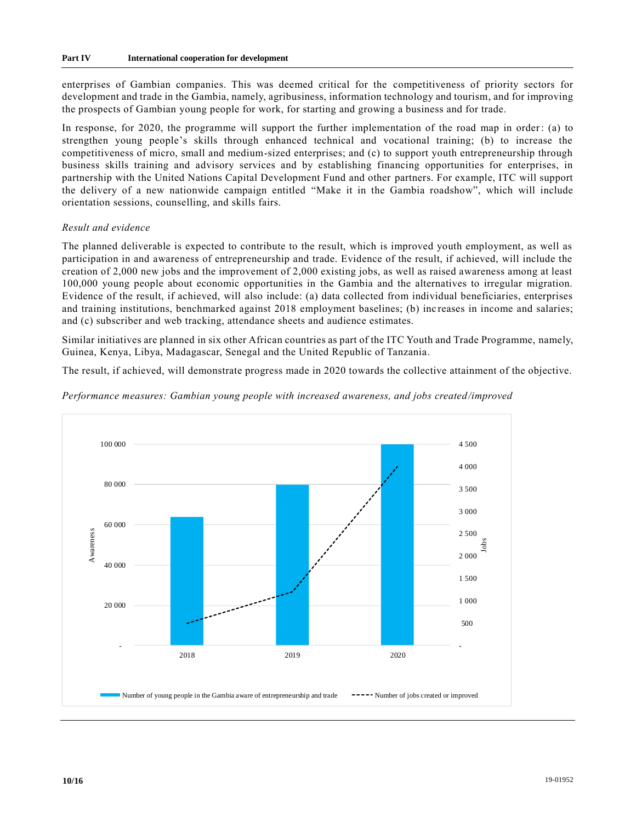enterprises of Gambian companies. This was deemed critical for the competitiveness of priority sectors for development and trade in the Gambia, namely, agribusiness, information technology and tourism, and for improving the prospects of Gambian young people for work, for starting and growing a business and for trade.

In response, for 2020, the programme will support the further implementation of the road map in order: (a) to strengthen young people's skills through enhanced technical and vocational training; (b) to increase the competitiveness of micro, small and medium-sized enterprises; and (c) to support youth entrepreneurship through business skills training and advisory services and by establishing financing opportunities for enterprises, in partnership with the United Nations Capital Development Fund and other partners. For example, ITC will support the delivery of a new nationwide campaign entitled "Make it in the Gambia roadshow", which will include orientation sessions, counselling, and skills fairs.

#### *Result and evidence*

The planned deliverable is expected to contribute to the result, which is improved youth employment, as well as participation in and awareness of entrepreneurship and trade. Evidence of the result, if achieved, will include the creation of 2,000 new jobs and the improvement of 2,000 existing jobs, as well as raised awareness among at least 100,000 young people about economic opportunities in the Gambia and the alternatives to irregular migration. Evidence of the result, if achieved, will also include: (a) data collected from individual beneficiaries, enterprises and training institutions, benchmarked against 2018 employment baselines; (b) inc reases in income and salaries; and (c) subscriber and web tracking, attendance sheets and audience estimates.

Similar initiatives are planned in six other African countries as part of the ITC Youth and Trade Programme, namely, Guinea, Kenya, Libya, Madagascar, Senegal and the United Republic of Tanzania.

The result, if achieved, will demonstrate progress made in 2020 towards the collective attainment of the objective.



*Performance measures: Gambian young people with increased awareness, and jobs created/improved*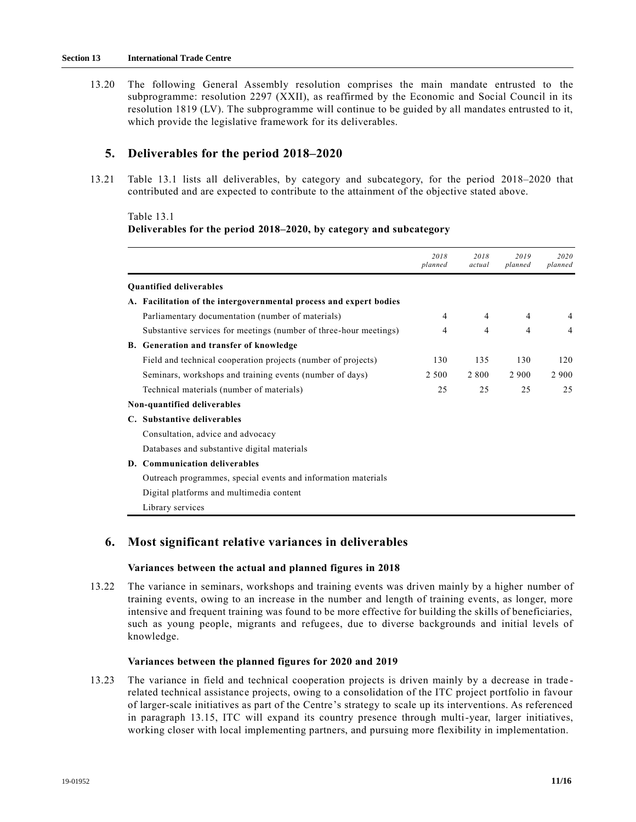#### **Section 13 International Trade Centre**

13.20 The following General Assembly resolution comprises the main mandate entrusted to the subprogramme: resolution 2297 (XXII), as reaffirmed by the Economic and Social Council in its resolution 1819 (LV). The subprogramme will continue to be guided by all mandates entrusted to it, which provide the legislative framework for its deliverables.

### **5. Deliverables for the period 2018–2020**

13.21 Table 13.1 lists all deliverables, by category and subcategory, for the period 2018–2020 that contributed and are expected to contribute to the attainment of the objective stated above.

Table 13.1

#### **Deliverables for the period 2018–2020, by category and subcategory**

|                                                          |                                                                    | 2018<br>planned | 2018<br>actual | 2019<br>planned | 2020<br>planned |
|----------------------------------------------------------|--------------------------------------------------------------------|-----------------|----------------|-----------------|-----------------|
| <b>Quantified deliverables</b>                           |                                                                    |                 |                |                 |                 |
|                                                          | A. Facilitation of the intergovernmental process and expert bodies |                 |                |                 |                 |
| Parliamentary documentation (number of materials)        |                                                                    | 4               | $\overline{4}$ | 4               | $\overline{4}$  |
|                                                          | Substantive services for meetings (number of three-hour meetings)  | 4               | $\overline{4}$ | 4               | 4               |
| B. Generation and transfer of knowledge                  |                                                                    |                 |                |                 |                 |
|                                                          | Field and technical cooperation projects (number of projects)      | 130             | 135            | 130             | 120             |
| Seminars, workshops and training events (number of days) |                                                                    | 2 500           | 2 8 0 0        | 2 900           | 2 900           |
| Technical materials (number of materials)                |                                                                    | 25              | 25             | 25              | 25              |
| Non-quantified deliverables                              |                                                                    |                 |                |                 |                 |
| <b>Substantive deliverables</b>                          |                                                                    |                 |                |                 |                 |
| Consultation, advice and advocacy                        |                                                                    |                 |                |                 |                 |
| Databases and substantive digital materials              |                                                                    |                 |                |                 |                 |
| D. Communication deliverables                            |                                                                    |                 |                |                 |                 |
|                                                          | Outreach programmes, special events and information materials      |                 |                |                 |                 |
| Digital platforms and multimedia content                 |                                                                    |                 |                |                 |                 |
| Library services                                         |                                                                    |                 |                |                 |                 |

### **6. Most significant relative variances in deliverables**

#### **Variances between the actual and planned figures in 2018**

13.22 The variance in seminars, workshops and training events was driven mainly by a higher number of training events, owing to an increase in the number and length of training events, as longer, more intensive and frequent training was found to be more effective for building the skills of beneficiaries, such as young people, migrants and refugees, due to diverse backgrounds and initial levels of knowledge.

#### **Variances between the planned figures for 2020 and 2019**

13.23 The variance in field and technical cooperation projects is driven mainly by a decrease in trade related technical assistance projects, owing to a consolidation of the ITC project portfolio in favour of larger-scale initiatives as part of the Centre's strategy to scale up its interventions. As referenced in paragraph 13.15, ITC will expand its country presence through multi-year, larger initiatives, working closer with local implementing partners, and pursuing more flexibility in implementation.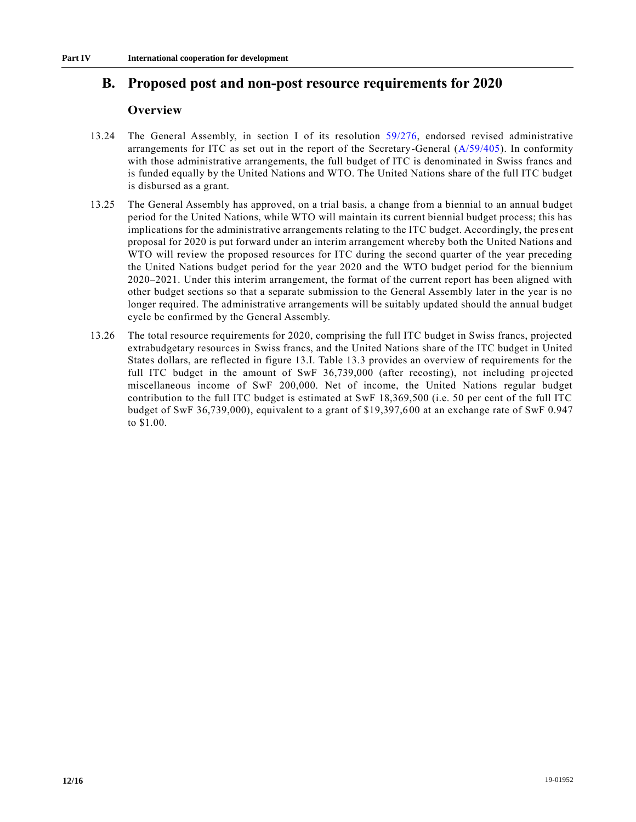# **B. Proposed post and non-post resource requirements for 2020**

### **Overview**

- 13.24 The General Assembly, in section I of its resolution [59/276,](https://undocs.org/en/A/RES/59/276) endorsed revised administrative arrangements for ITC as set out in the report of the Secretary-General [\(A/59/405\)](https://undocs.org/en/A/59/405). In conformity with those administrative arrangements, the full budget of ITC is denominated in Swiss francs and is funded equally by the United Nations and WTO. The United Nations share of the full ITC budget is disbursed as a grant.
- 13.25 The General Assembly has approved, on a trial basis, a change from a biennial to an annual budget period for the United Nations, while WTO will maintain its current biennial budget process; this has implications for the administrative arrangements relating to the ITC budget. Accordingly, the pres ent proposal for 2020 is put forward under an interim arrangement whereby both the United Nations and WTO will review the proposed resources for ITC during the second quarter of the year preceding the United Nations budget period for the year 2020 and the WTO budget period for the biennium 2020–2021. Under this interim arrangement, the format of the current report has been aligned with other budget sections so that a separate submission to the General Assembly later in the year is no longer required. The administrative arrangements will be suitably updated should the annual budget cycle be confirmed by the General Assembly.
- 13.26 The total resource requirements for 2020, comprising the full ITC budget in Swiss francs, projected extrabudgetary resources in Swiss francs, and the United Nations share of the ITC budget in United States dollars, are reflected in figure 13.I. Table 13.3 provides an overview of requirements for the full ITC budget in the amount of SwF 36,739,000 (after recosting), not including projected miscellaneous income of SwF 200,000. Net of income, the United Nations regular budget contribution to the full ITC budget is estimated at SwF 18,369,500 (i.e. 50 per cent of the full ITC budget of SwF 36,739,000), equivalent to a grant of \$19,397,600 at an exchange rate of SwF 0.947 to \$1.00.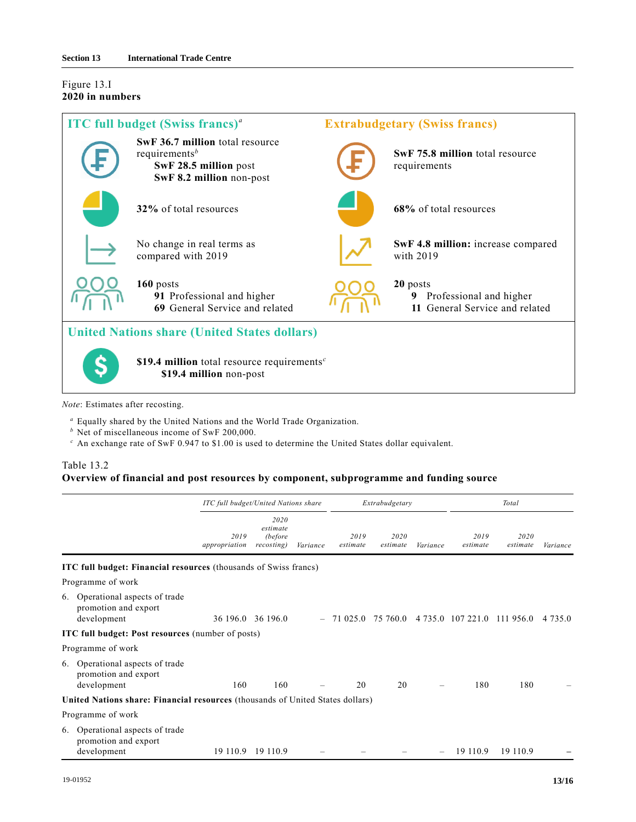### Figure 13.I **2020 in numbers**

|                                                     | <b>ITC full budget (Swiss francs)<sup>a</sup></b>                                                                        |  | <b>Extrabudgetary (Swiss francs)</b>                                       |  |  |  |  |
|-----------------------------------------------------|--------------------------------------------------------------------------------------------------------------------------|--|----------------------------------------------------------------------------|--|--|--|--|
|                                                     | <b>SwF 36.7 million</b> total resource<br>requirements <sup>b</sup><br>SwF 28.5 million post<br>SwF 8.2 million non-post |  | <b>SwF 75.8 million</b> total resource<br>requirements                     |  |  |  |  |
|                                                     | 32% of total resources                                                                                                   |  | 68% of total resources                                                     |  |  |  |  |
|                                                     | No change in real terms as<br>compared with 2019                                                                         |  | SwF 4.8 million: increase compared<br>with $2019$                          |  |  |  |  |
|                                                     | 160 posts<br>91 Professional and higher<br>69 General Service and related                                                |  | 20 posts<br>Professional and higher<br>9<br>11 General Service and related |  |  |  |  |
| <b>United Nations share (United States dollars)</b> |                                                                                                                          |  |                                                                            |  |  |  |  |
|                                                     | \$19.4 million total resource requirements <sup><math>c</math></sup><br>\$19.4 million non-post                          |  |                                                                            |  |  |  |  |

*Note*: Estimates after recosting.

- *<sup>a</sup>* Equally shared by the United Nations and the World Trade Organization.
- *b* Net of miscellaneous income of SwF 200,000.
- <sup>c</sup> An exchange rate of SwF 0.947 to \$1.00 is used to determine the United States dollar equivalent.

### Table 13.2 **Overview of financial and post resources by component, subprogramme and funding source**

|                                                                                | ITC full budget/United Nations share |                                           |          |                  | Extrabudgetary   |                 | Total                       |                  |            |
|--------------------------------------------------------------------------------|--------------------------------------|-------------------------------------------|----------|------------------|------------------|-----------------|-----------------------------|------------------|------------|
|                                                                                | 2019<br>appropriation                | 2020<br>estimate<br>(before<br>recosting) | Variance | 2019<br>estimate | 2020<br>estimate | Variance        | 2019<br>estimate            | 2020<br>estimate | Variance   |
| <b>ITC full budget: Financial resources (thousands of Swiss francs)</b>        |                                      |                                           |          |                  |                  |                 |                             |                  |            |
| Programme of work                                                              |                                      |                                           |          |                  |                  |                 |                             |                  |            |
| 6. Operational aspects of trade<br>promotion and export<br>development         |                                      | 36 196.0 36 196.0                         |          | 71 025.0         | 75 760.0         |                 | 4 735.0 107 221.0 111 956.0 |                  | 4 7 3 5 .0 |
| <b>ITC full budget: Post resources (number of posts)</b>                       |                                      |                                           |          |                  |                  |                 |                             |                  |            |
| Programme of work                                                              |                                      |                                           |          |                  |                  |                 |                             |                  |            |
| 6. Operational aspects of trade<br>promotion and export<br>development         | 160                                  | 160                                       |          | 20               | 20               |                 | 180                         | 180              |            |
| United Nations share: Financial resources (thousands of United States dollars) |                                      |                                           |          |                  |                  |                 |                             |                  |            |
| Programme of work                                                              |                                      |                                           |          |                  |                  |                 |                             |                  |            |
| 6. Operational aspects of trade<br>promotion and export<br>development         |                                      | 19 110.9 19 110.9                         |          |                  |                  | $\qquad \qquad$ | 19 110.9                    | 19 110.9         |            |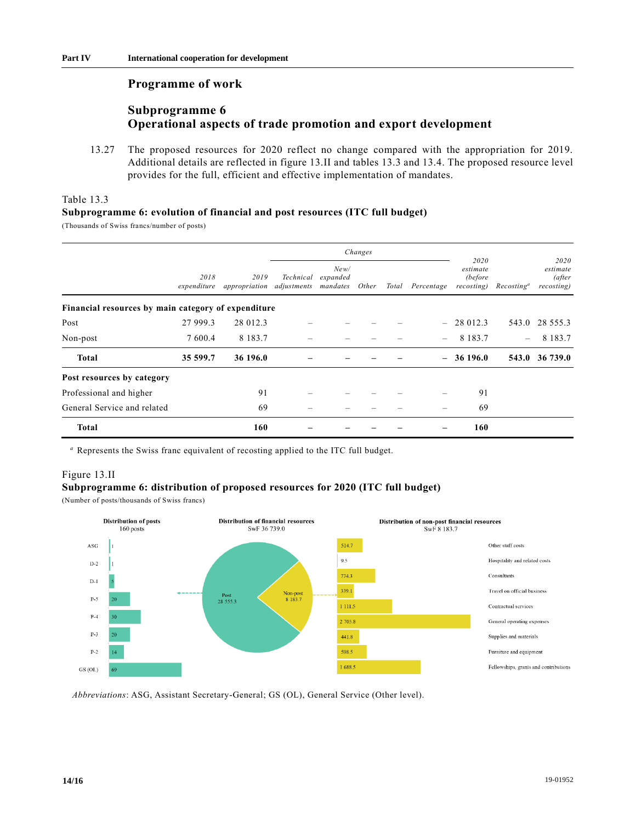### **Programme of work**

# **Subprogramme 6 Operational aspects of trade promotion and export development**

13.27 The proposed resources for 2020 reflect no change compared with the appropriation for 2019. Additional details are reflected in figure 13.II and tables 13.3 and 13.4. The proposed resource level provides for the full, efficient and effective implementation of mandates.

#### Table 13.3 **Subprogramme 6: evolution of financial and post resources (ITC full budget)**

(Thousands of Swiss francs/number of posts)

|                                                     |                     |                                   |           |                              | Changes |                  |                                           |                        |                                                 |
|-----------------------------------------------------|---------------------|-----------------------------------|-----------|------------------------------|---------|------------------|-------------------------------------------|------------------------|-------------------------------------------------|
|                                                     | 2018<br>expenditure | 2019<br>appropriation adjustments | Technical | New/<br>expanded<br>mandates | Other   | Total Percentage | 2020<br>estimate<br>(before<br>recosting) | Recosting <sup>a</sup> | 2020<br>estimate<br><i>(after</i><br>recosting) |
| Financial resources by main category of expenditure |                     |                                   |           |                              |         |                  |                                           |                        |                                                 |
| Post                                                | 27 999.3            | 28 012.3                          |           |                              |         |                  | $-28012.3$                                | 543.0                  | 28 555.3                                        |
| Non-post                                            | 7 600.4             | 8 1 8 3 . 7                       |           |                              |         |                  | 8 1 8 3 . 7                               |                        | 8 1 8 3 . 7                                     |
| <b>Total</b>                                        | 35 599.7            | 36 196.0                          |           |                              |         |                  | $-36196.0$                                |                        | 543.0 36 739.0                                  |
| Post resources by category                          |                     |                                   |           |                              |         |                  |                                           |                        |                                                 |
| Professional and higher                             |                     | 91                                |           |                              |         |                  | 91                                        |                        |                                                 |
| General Service and related                         |                     | 69                                |           |                              |         |                  | 69                                        |                        |                                                 |
| Total                                               |                     | 160                               |           |                              |         |                  | 160                                       |                        |                                                 |

<sup>a</sup> Represents the Swiss franc equivalent of recosting applied to the ITC full budget.

#### Figure 13.II

#### **Subprogramme 6: distribution of proposed resources for 2020 (ITC full budget)**

(Number of posts/thousands of Swiss francs)



*Abbreviations*: ASG, Assistant Secretary-General; GS (OL), General Service (Other level).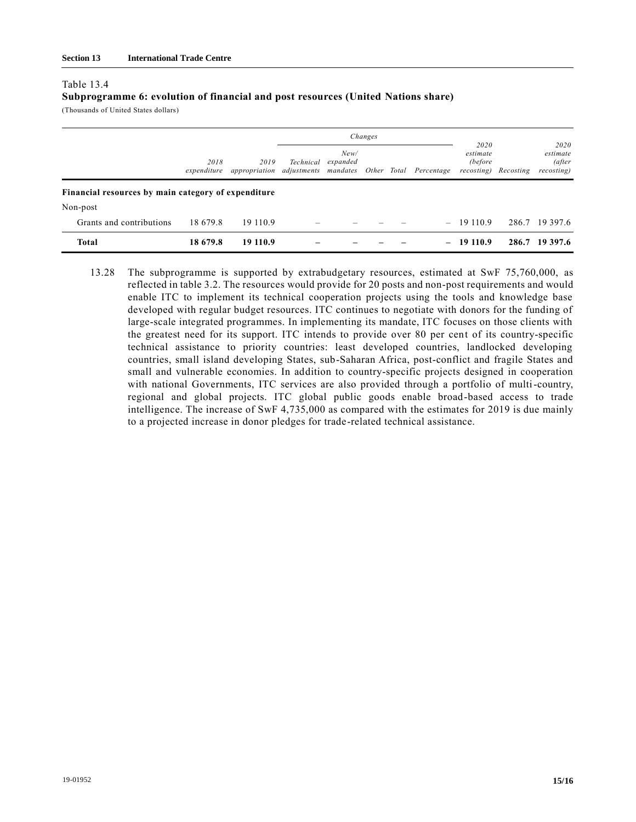#### Table 13.4

#### **Subprogramme 6: evolution of financial and post resources (United Nations share)**

(Thousands of United States dollars)

|                                                     |                     |                                            |           |                  | Changes |                        |                                           |           |                                          |
|-----------------------------------------------------|---------------------|--------------------------------------------|-----------|------------------|---------|------------------------|-------------------------------------------|-----------|------------------------------------------|
|                                                     | 2018<br>expenditure | 2019<br>appropriation adjustments mandates | Technical | New/<br>expanded |         | Other Total Percentage | 2020<br>estimate<br>(before<br>recosting) | Recosting | 2020<br>estimate<br>(after<br>recosting) |
| Financial resources by main category of expenditure |                     |                                            |           |                  |         |                        |                                           |           |                                          |
| Non-post                                            |                     |                                            |           |                  |         |                        |                                           |           |                                          |
| Grants and contributions                            | 18 679.8            | 19 110.9                                   |           |                  |         |                        | $-19110.9$                                |           | 286.7 19 397.6                           |
| <b>Total</b>                                        | 18 679.8            | 19 110.9                                   |           |                  |         |                        | $-19110.9$                                |           | 286.7 19 397.6                           |

13.28 The subprogramme is supported by extrabudgetary resources, estimated at SwF 75,760,000, as reflected in table 3.2. The resources would provide for 20 posts and non-post requirements and would enable ITC to implement its technical cooperation projects using the tools and knowledge base developed with regular budget resources. ITC continues to negotiate with donors for the funding of large-scale integrated programmes. In implementing its mandate, ITC focuses on those clients with the greatest need for its support. ITC intends to provide over 80 per cent of its country-specific technical assistance to priority countries: least developed countries, landlocked developing countries, small island developing States, sub-Saharan Africa, post-conflict and fragile States and small and vulnerable economies. In addition to country-specific projects designed in cooperation with national Governments, ITC services are also provided through a portfolio of multi-country, regional and global projects. ITC global public goods enable broad-based access to trade intelligence. The increase of SwF 4,735,000 as compared with the estimates for 2019 is due mainly to a projected increase in donor pledges for trade-related technical assistance.